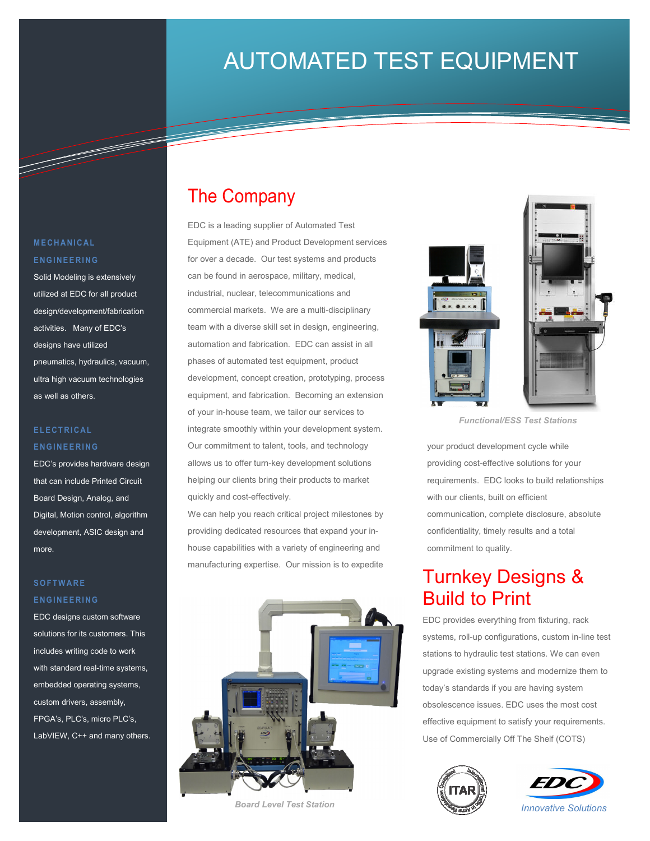# AUTOMATED TEST EQUIPMENT

Information Technology Solutions

# The Company

EDC is a leading supplier of Automated Test Equipment (ATE) and Product Development services for over a decade. Our test systems and products can be found in aerospace, military, medical, industrial, nuclear, telecommunications and commercial markets. We are a multi-disciplinary team with a diverse skill set in design, engineering, automation and fabrication. EDC can assist in all phases of automated test equipment, product development, concept creation, prototyping, process equipment, and fabrication. Becoming an extension of your in-house team, we tailor our services to integrate smoothly within your development system. Our commitment to talent, tools, and technology allows us to offer turn-key development solutions helping our clients bring their products to market quickly and cost-effectively.

We can help you reach critical project milestones by providing dedicated resources that expand your inhouse capabilities with a variety of engineering and manufacturing expertise. Our mission is to expedite



*Board Level Test Station* 



*Functional/ESS Test Stations* 

your product development cycle while providing cost-effective solutions for your requirements. EDC looks to build relationships with our clients, built on efficient communication, complete disclosure, absolute confidentiality, timely results and a total commitment to quality.

## Turnkey Designs & Build to Print

EDC provides everything from fixturing, rack systems, roll-up configurations, custom in-line test stations to hydraulic test stations. We can even upgrade existing systems and modernize them to today's standards if you are having system obsolescence issues. EDC uses the most cost effective equipment to satisfy your requirements. Use of Commercially Off The Shelf (COTS)





### **M E C H A N I C A L E N G I N E E R I N G**

T

Solid Modeling is extensively utilized at EDC for all product design/development/fabrication activities. Many of EDC's designs have utilized pneumatics, hydraulics, vacuum, ultra high vacuum technologies as well as others.

### **E L E C T R I C A L E N G I N E E R I N G**

EDC's provides hardware design that can include Printed Circuit Board Design, Analog, and Digital, Motion control, algorithm development, ASIC design and more.

#### **S O F T W A R E E N G I N E E R I N G**

EDC designs custom software solutions for its customers. This includes writing code to work with standard real-time systems, embedded operating systems, custom drivers, assembly, FPGA's, PLC's, micro PLC's, LabVIEW, C++ and many others.